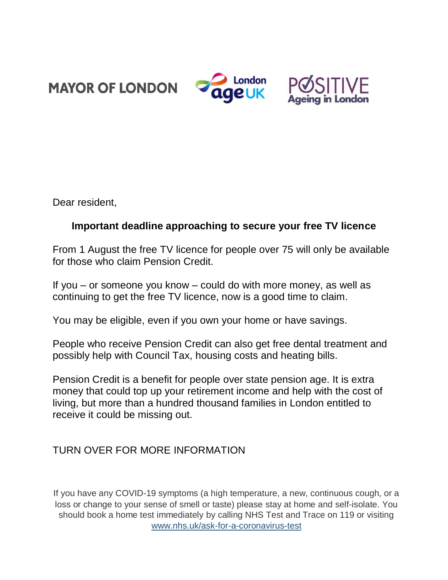**MAYOR OF LONDON** 





Dear resident,

## **Important deadline approaching to secure your free TV licence**

From 1 August the free TV licence for people over 75 will only be available for those who claim Pension Credit.

If you – or someone you know – could do with more money, as well as continuing to get the free TV licence, now is a good time to claim.

You may be eligible, even if you own your home or have savings.

People who receive Pension Credit can also get free dental treatment and possibly help with Council Tax, housing costs and heating bills.

Pension Credit is a benefit for people over state pension age. It is extra money that could top up your retirement income and help with the cost of living, but more than a hundred thousand families in London entitled to receive it could be missing out.

## TURN OVER FOR MORE INFORMATION

If you have any COVID-19 symptoms (a high temperature, a new, continuous cough, or a loss or change to your sense of smell or taste) please stay at home and self-isolate. You should book a home test immediately by calling NHS Test and Trace on 119 or visiting [www.nhs.uk/ask-for-a-coronavirus-test](https://www.nhs.uk/ask-for-a-coronavirus-test)